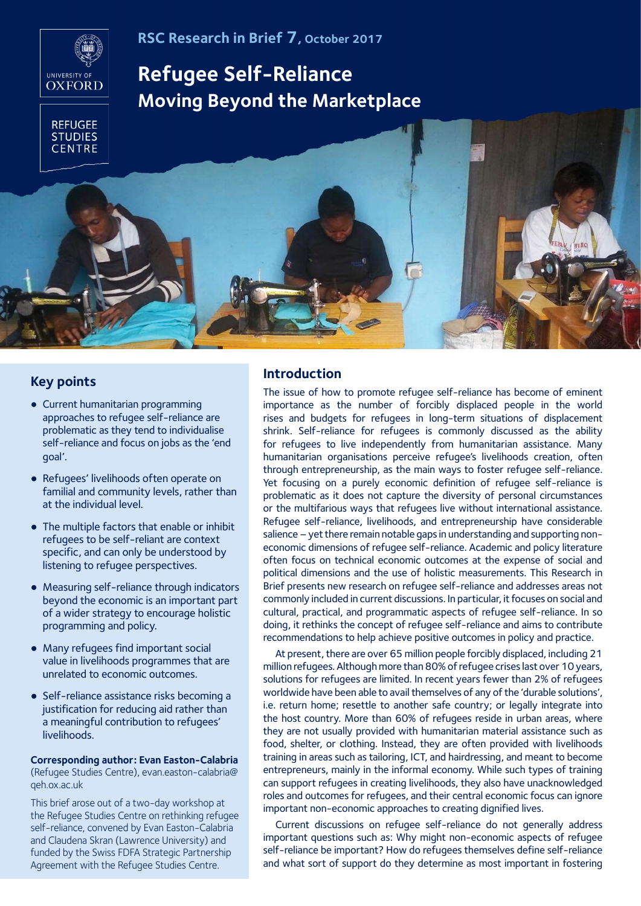# **RSC Research in Brief 7, October 2017**



# **Refugee Self-Reliance Moving Beyond the Marketplace**



### **Key points**

- Current humanitarian programming approaches to refugee self-reliance are problematic as they tend to individualise self-reliance and focus on jobs as the 'end goal'.
- Refugees' livelihoods often operate on familial and community levels, rather than at the individual level.
- The multiple factors that enable or inhibit refugees to be self-reliant are context specific, and can only be understood by listening to refugee perspectives.
- Measuring self-reliance through indicators beyond the economic is an important part of a wider strategy to encourage holistic programming and policy.
- Many refugees find important social value in livelihoods programmes that are unrelated to economic outcomes.
- Self-reliance assistance risks becoming a justification for reducing aid rather than a meaningful contribution to refugees' livelihoods.

**Corresponding author: Evan Easton-Calabria** (Refugee Studies Centre), evan.easton-calabria@ qeh.ox.ac.uk

This brief arose out of a two-day workshop at the Refugee Studies Centre on rethinking refugee self-reliance, convened by Evan Easton-Calabria and Claudena Skran (Lawrence University) and funded by the Swiss FDFA Strategic Partnership Agreement with the Refugee Studies Centre.

# **Introduction**

The issue of how to promote refugee self-reliance has become of eminent importance as the number of forcibly displaced people in the world rises and budgets for refugees in long-term situations of displacement shrink. Self-reliance for refugees is commonly discussed as the ability for refugees to live independently from humanitarian assistance. Many humanitarian organisations perceive refugee's livelihoods creation, often through entrepreneurship, as the main ways to foster refugee self-reliance. Yet focusing on a purely economic definition of refugee self-reliance is problematic as it does not capture the diversity of personal circumstances or the multifarious ways that refugees live without international assistance. Refugee self-reliance, livelihoods, and entrepreneurship have considerable salience – yet there remain notable gaps in understanding and supporting noneconomic dimensions of refugee self-reliance. Academic and policy literature often focus on technical economic outcomes at the expense of social and political dimensions and the use of holistic measurements. This Research in Brief presents new research on refugee self-reliance and addresses areas not commonly included in current discussions. In particular, it focuses on social and cultural, practical, and programmatic aspects of refugee self-reliance. In so doing, it rethinks the concept of refugee self-reliance and aims to contribute recommendations to help achieve positive outcomes in policy and practice.

At present, there are over 65 million people forcibly displaced, including 21 million refugees. Although more than 80% of refugee crises last over 10 years, solutions for refugees are limited. In recent years fewer than 2% of refugees worldwide have been able to avail themselves of any of the 'durable solutions', i.e. return home; resettle to another safe country; or legally integrate into the host country. More than 60% of refugees reside in urban areas, where they are not usually provided with humanitarian material assistance such as food, shelter, or clothing. Instead, they are often provided with livelihoods training in areas such as tailoring, ICT, and hairdressing, and meant to become entrepreneurs, mainly in the informal economy. While such types of training can support refugees in creating livelihoods, they also have unacknowledged roles and outcomes for refugees, and their central economic focus can ignore important non-economic approaches to creating dignified lives.

Current discussions on refugee self-reliance do not generally address important questions such as: Why might non-economic aspects of refugee self-reliance be important? How do refugees themselves define self-reliance and what sort of support do they determine as most important in fostering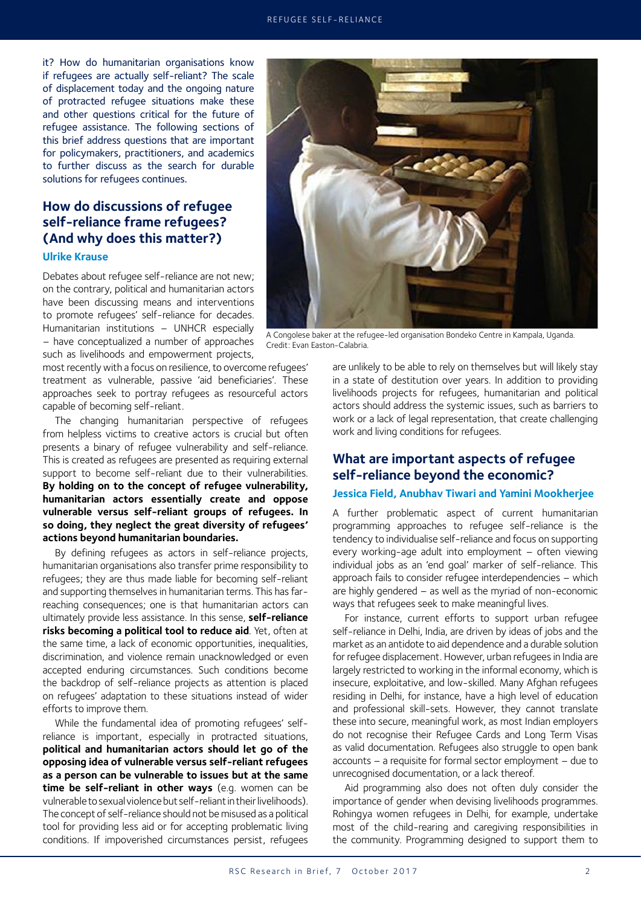it? How do humanitarian organisations know if refugees are actually self-reliant? The scale of displacement today and the ongoing nature of protracted refugee situations make these and other questions critical for the future of refugee assistance. The following sections of this brief address questions that are important for policymakers, practitioners, and academics to further discuss as the search for durable solutions for refugees continues.

# **How do discussions of refugee self-reliance frame refugees? (And why does this matter?)**

#### **Ulrike Krause**

Debates about refugee self-reliance are not new; on the contrary, political and humanitarian actors have been discussing means and interventions to promote refugees' self-reliance for decades. Humanitarian institutions – UNHCR especially – have conceptualized a number of approaches such as livelihoods and empowerment projects,

most recently with a focus on resilience, to overcome refugees' treatment as vulnerable, passive 'aid beneficiaries'. These approaches seek to portray refugees as resourceful actors capable of becoming self-reliant.

The changing humanitarian perspective of refugees from helpless victims to creative actors is crucial but often presents a binary of refugee vulnerability and self-reliance. This is created as refugees are presented as requiring external support to become self-reliant due to their vulnerabilities. **By holding on to the concept of refugee vulnerability, humanitarian actors essentially create and oppose vulnerable versus self-reliant groups of refugees. In so doing, they neglect the great diversity of refugees' actions beyond humanitarian boundaries.**

By defining refugees as actors in self-reliance projects, humanitarian organisations also transfer prime responsibility to refugees; they are thus made liable for becoming self-reliant and supporting themselves in humanitarian terms. This has farreaching consequences; one is that humanitarian actors can ultimately provide less assistance. In this sense, **self-reliance risks becoming a political tool to reduce aid**. Yet, often at the same time, a lack of economic opportunities, inequalities, discrimination, and violence remain unacknowledged or even accepted enduring circumstances. Such conditions become the backdrop of self-reliance projects as attention is placed on refugees' adaptation to these situations instead of wider efforts to improve them.

While the fundamental idea of promoting refugees' selfreliance is important, especially in protracted situations, **political and humanitarian actors should let go of the opposing idea of vulnerable versus self-reliant refugees as a person can be vulnerable to issues but at the same time be self-reliant in other ways** (e.g. women can be vulnerable to sexual violence but self-reliant in their livelihoods). The concept of self-reliance should not be misused as a political tool for providing less aid or for accepting problematic living conditions. If impoverished circumstances persist, refugees



A Congolese baker at the refugee-led organisation Bondeko Centre in Kampala, Uganda. Credit: Evan Easton-Calabria.

are unlikely to be able to rely on themselves but will likely stay in a state of destitution over years. In addition to providing livelihoods projects for refugees, humanitarian and political actors should address the systemic issues, such as barriers to work or a lack of legal representation, that create challenging work and living conditions for refugees.

# **What are important aspects of refugee self-reliance beyond the economic?**

#### **Jessica Field, Anubhav Tiwari and Yamini Mookherjee**

A further problematic aspect of current humanitarian programming approaches to refugee self-reliance is the tendency to individualise self-reliance and focus on supporting every working-age adult into employment – often viewing individual jobs as an 'end goal' marker of self-reliance. This approach fails to consider refugee interdependencies – which are highly gendered – as well as the myriad of non-economic ways that refugees seek to make meaningful lives.

For instance, current efforts to support urban refugee self-reliance in Delhi, India, are driven by ideas of jobs and the market as an antidote to aid dependence and a durable solution for refugee displacement. However, urban refugees in India are largely restricted to working in the informal economy, which is insecure, exploitative, and low-skilled. Many Afghan refugees residing in Delhi, for instance, have a high level of education and professional skill-sets. However, they cannot translate these into secure, meaningful work, as most Indian employers do not recognise their Refugee Cards and Long Term Visas as valid documentation. Refugees also struggle to open bank accounts – a requisite for formal sector employment – due to unrecognised documentation, or a lack thereof.

Aid programming also does not often duly consider the importance of gender when devising livelihoods programmes. Rohingya women refugees in Delhi, for example, undertake most of the child-rearing and caregiving responsibilities in the community. Programming designed to support them to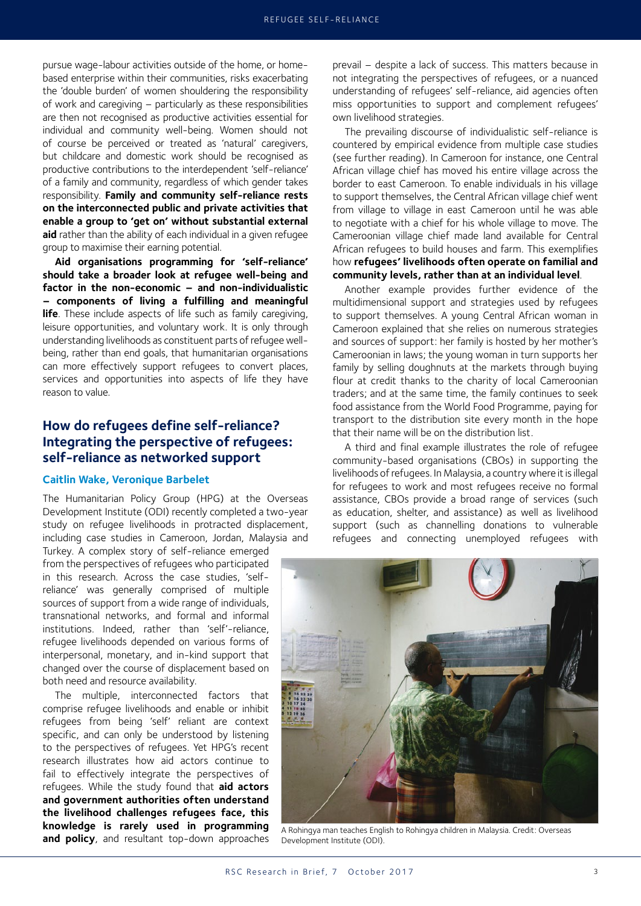pursue wage-labour activities outside of the home, or homebased enterprise within their communities, risks exacerbating the 'double burden' of women shouldering the responsibility of work and caregiving – particularly as these responsibilities are then not recognised as productive activities essential for individual and community well-being. Women should not of course be perceived or treated as 'natural' caregivers, but childcare and domestic work should be recognised as productive contributions to the interdependent 'self-reliance' of a family and community, regardless of which gender takes responsibility. **Family and community self-reliance rests on the interconnected public and private activities that enable a group to 'get on' without substantial external aid** rather than the ability of each individual in a given refugee group to maximise their earning potential.

**Aid organisations programming for 'self-reliance' should take a broader look at refugee well-being and factor in the non-economic – and non-individualistic – components of living a fulfilling and meaningful life**. These include aspects of life such as family caregiving, leisure opportunities, and voluntary work. It is only through understanding livelihoods as constituent parts of refugee wellbeing, rather than end goals, that humanitarian organisations can more effectively support refugees to convert places, services and opportunities into aspects of life they have reason to value.

## **How do refugees define self-reliance? Integrating the perspective of refugees: self-reliance as networked support**

#### **Caitlin Wake, Veronique Barbelet**

The Humanitarian Policy Group (HPG) at the Overseas Development Institute (ODI) recently completed a two-year study on refugee livelihoods in protracted displacement, including case studies in Cameroon, Jordan, Malaysia and

Turkey. A complex story of self-reliance emerged from the perspectives of refugees who participated in this research. Across the case studies, 'selfreliance' was generally comprised of multiple sources of support from a wide range of individuals, transnational networks, and formal and informal institutions. Indeed, rather than 'self'-reliance, refugee livelihoods depended on various forms of interpersonal, monetary, and in-kind support that changed over the course of displacement based on both need and resource availability.

The multiple, interconnected factors that comprise refugee livelihoods and enable or inhibit refugees from being 'self' reliant are context specific, and can only be understood by listening to the perspectives of refugees. Yet HPG's recent research illustrates how aid actors continue to fail to effectively integrate the perspectives of refugees. While the study found that **aid actors and government authorities often understand the livelihood challenges refugees face, this knowledge is rarely used in programming and policy**, and resultant top-down approaches prevail – despite a lack of success. This matters because in not integrating the perspectives of refugees, or a nuanced understanding of refugees' self-reliance, aid agencies often miss opportunities to support and complement refugees' own livelihood strategies.

The prevailing discourse of individualistic self-reliance is countered by empirical evidence from multiple case studies (see further reading). In Cameroon for instance, one Central African village chief has moved his entire village across the border to east Cameroon. To enable individuals in his village to support themselves, the Central African village chief went from village to village in east Cameroon until he was able to negotiate with a chief for his whole village to move. The Cameroonian village chief made land available for Central African refugees to build houses and farm. This exemplifies how **refugees' livelihoods often operate on familial and community levels, rather than at an individual level**.

Another example provides further evidence of the multidimensional support and strategies used by refugees to support themselves. A young Central African woman in Cameroon explained that she relies on numerous strategies and sources of support: her family is hosted by her mother's Cameroonian in laws; the young woman in turn supports her family by selling doughnuts at the markets through buying flour at credit thanks to the charity of local Cameroonian traders; and at the same time, the family continues to seek food assistance from the World Food Programme, paying for transport to the distribution site every month in the hope that their name will be on the distribution list.

A third and final example illustrates the role of refugee community-based organisations (CBOs) in supporting the livelihoods of refugees. In Malaysia, a country where it is illegal for refugees to work and most refugees receive no formal assistance, CBOs provide a broad range of services (such as education, shelter, and assistance) as well as livelihood support (such as channelling donations to vulnerable refugees and connecting unemployed refugees with



A Rohingya man teaches English to Rohingya children in Malaysia. Credit: Overseas Development Institute (ODI).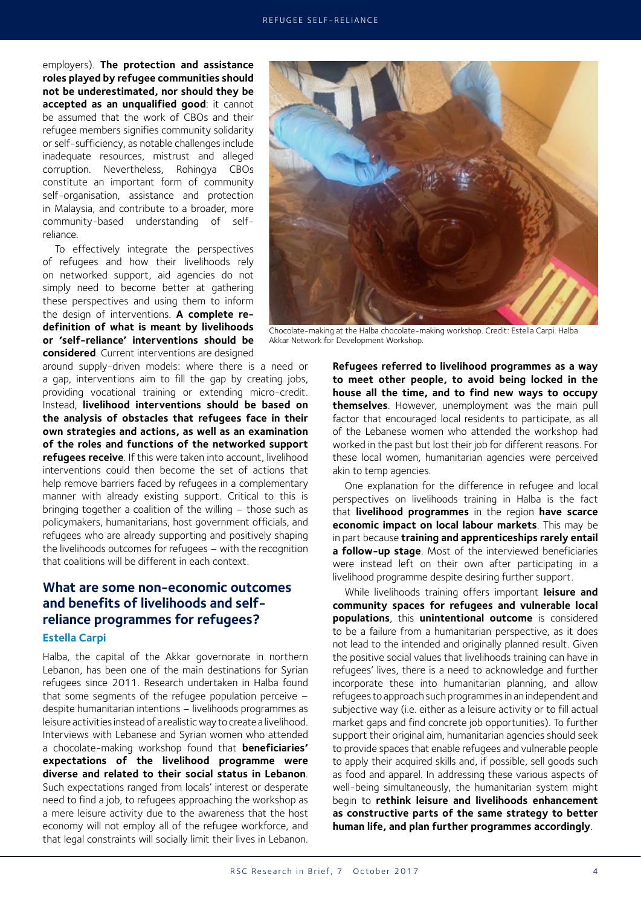employers). **The protection and assistance roles played by refugee communities should not be underestimated, nor should they be accepted as an unqualified good**: it cannot be assumed that the work of CBOs and their refugee members signifies community solidarity or self-sufficiency, as notable challenges include inadequate resources, mistrust and alleged corruption. Nevertheless, Rohingya CBOs constitute an important form of community self-organisation, assistance and protection in Malaysia, and contribute to a broader, more community-based understanding of selfreliance.

To effectively integrate the perspectives of refugees and how their livelihoods rely on networked support, aid agencies do not simply need to become better at gathering these perspectives and using them to inform the design of interventions. **A complete redefinition of what is meant by livelihoods or 'self-reliance' interventions should be considered**. Current interventions are designed

around supply-driven models: where there is a need or a gap, interventions aim to fill the gap by creating jobs, providing vocational training or extending micro-credit. Instead, **livelihood interventions should be based on the analysis of obstacles that refugees face in their own strategies and actions, as well as an examination of the roles and functions of the networked support refugees receive**. If this were taken into account, livelihood interventions could then become the set of actions that help remove barriers faced by refugees in a complementary manner with already existing support. Critical to this is bringing together a coalition of the willing – those such as policymakers, humanitarians, host government officials, and refugees who are already supporting and positively shaping the livelihoods outcomes for refugees – with the recognition that coalitions will be different in each context.

# **What are some non-economic outcomes and benefits of livelihoods and selfreliance programmes for refugees? Estella Carpi**

Halba, the capital of the Akkar governorate in northern Lebanon, has been one of the main destinations for Syrian refugees since 2011. Research undertaken in Halba found that some segments of the refugee population perceive – despite humanitarian intentions – livelihoods programmes as leisure activities instead of a realistic way to create a livelihood. Interviews with Lebanese and Syrian women who attended a chocolate-making workshop found that **beneficiaries' expectations of the livelihood programme were diverse and related to their social status in Lebanon**. Such expectations ranged from locals' interest or desperate need to find a job, to refugees approaching the workshop as a mere leisure activity due to the awareness that the host economy will not employ all of the refugee workforce, and that legal constraints will socially limit their lives in Lebanon.



Chocolate-making at the Halba chocolate-making workshop. Credit: Estella Carpi. Halba Akkar Network for Development Workshop.

**Refugees referred to livelihood programmes as a way to meet other people, to avoid being locked in the house all the time, and to find new ways to occupy themselves**. However, unemployment was the main pull factor that encouraged local residents to participate, as all of the Lebanese women who attended the workshop had worked in the past but lost their job for different reasons. For these local women, humanitarian agencies were perceived akin to temp agencies.

One explanation for the difference in refugee and local perspectives on livelihoods training in Halba is the fact that **livelihood programmes** in the region **have scarce economic impact on local labour markets**. This may be in part because **training and apprenticeships rarely entail a follow-up stage**. Most of the interviewed beneficiaries were instead left on their own after participating in a livelihood programme despite desiring further support.

While livelihoods training offers important **leisure and community spaces for refugees and vulnerable local populations**, this **unintentional outcome** is considered to be a failure from a humanitarian perspective, as it does not lead to the intended and originally planned result. Given the positive social values that livelihoods training can have in refugees' lives, there is a need to acknowledge and further incorporate these into humanitarian planning, and allow refugees to approach such programmes in an independent and subjective way (i.e. either as a leisure activity or to fill actual market gaps and find concrete job opportunities). To further support their original aim, humanitarian agencies should seek to provide spaces that enable refugees and vulnerable people to apply their acquired skills and, if possible, sell goods such as food and apparel. In addressing these various aspects of well-being simultaneously, the humanitarian system might begin to **rethink leisure and livelihoods enhancement as constructive parts of the same strategy to better human life, and plan further programmes accordingly**.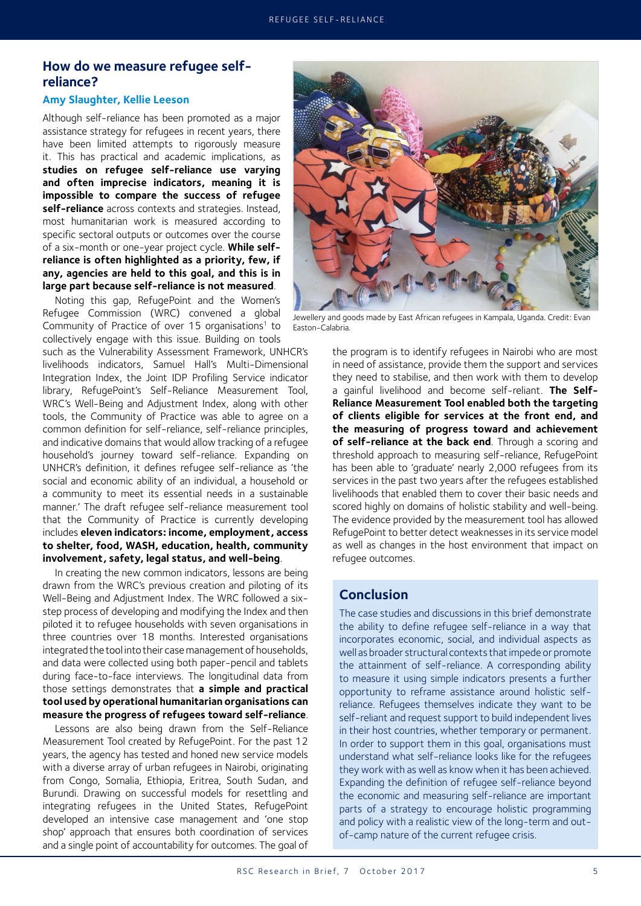### **How do we measure refugee selfreliance?**

#### **Amy Slaughter, Kellie Leeson**

Although self-reliance has been promoted as a major assistance strategy for refugees in recent years, there have been limited attempts to rigorously measure it. This has practical and academic implications, as **studies on refugee self-reliance use varying and often imprecise indicators, meaning it is impossible to compare the success of refugee self-reliance** across contexts and strategies. Instead, most humanitarian work is measured according to specific sectoral outputs or outcomes over the course of a six-month or one-year project cycle. **While selfreliance is often highlighted as a priority, few, if any, agencies are held to this goal, and this is in large part because self-reliance is not measured**.

Noting this gap, RefugePoint and the Women's Refugee Commission (WRC) convened a global Community of Practice of over 15 organisations<sup>1</sup> to collectively engage with this issue. Building on tools

such as the Vulnerability Assessment Framework, UNHCR's livelihoods indicators, Samuel Hall's Multi-Dimensional Integration Index, the Joint IDP Profiling Service indicator library, RefugePoint's Self-Reliance Measurement Tool, WRC's Well-Being and Adjustment Index, along with other tools, the Community of Practice was able to agree on a common definition for self-reliance, self-reliance principles, and indicative domains that would allow tracking of a refugee household's journey toward self-reliance. Expanding on UNHCR's definition, it defines refugee self-reliance as 'the social and economic ability of an individual, a household or a community to meet its essential needs in a sustainable manner.' The draft refugee self-reliance measurement tool that the Community of Practice is currently developing includes **eleven indicators: income, employment, access to shelter, food, WASH, education, health, community involvement, safety, legal status, and well-being**.

In creating the new common indicators, lessons are being drawn from the WRC's previous creation and piloting of its Well-Being and Adjustment Index. The WRC followed a sixstep process of developing and modifying the Index and then piloted it to refugee households with seven organisations in three countries over 18 months. Interested organisations integrated the tool into their case management of households, and data were collected using both paper-pencil and tablets during face-to-face interviews. The longitudinal data from those settings demonstrates that **a simple and practical tool used by operational humanitarian organisations can measure the progress of refugees toward self-reliance**.

Lessons are also being drawn from the Self-Reliance Measurement Tool created by RefugePoint. For the past 12 years, the agency has tested and honed new service models with a diverse array of urban refugees in Nairobi, originating from Congo, Somalia, Ethiopia, Eritrea, South Sudan, and Burundi. Drawing on successful models for resettling and integrating refugees in the United States, RefugePoint developed an intensive case management and 'one stop shop' approach that ensures both coordination of services and a single point of accountability for outcomes. The goal of



Jewellery and goods made by East African refugees in Kampala, Uganda. Credit: Evan Easton-Calabria.

the program is to identify refugees in Nairobi who are most in need of assistance, provide them the support and services they need to stabilise, and then work with them to develop a gainful livelihood and become self-reliant. **The Self-Reliance Measurement Tool enabled both the targeting of clients eligible for services at the front end, and the measuring of progress toward and achievement of self-reliance at the back end**. Through a scoring and threshold approach to measuring self-reliance, RefugePoint has been able to 'graduate' nearly 2,000 refugees from its services in the past two years after the refugees established livelihoods that enabled them to cover their basic needs and scored highly on domains of holistic stability and well-being. The evidence provided by the measurement tool has allowed RefugePoint to better detect weaknesses in its service model as well as changes in the host environment that impact on refugee outcomes.

# **Conclusion**

The case studies and discussions in this brief demonstrate the ability to define refugee self-reliance in a way that incorporates economic, social, and individual aspects as well as broader structural contexts that impede or promote the attainment of self-reliance. A corresponding ability to measure it using simple indicators presents a further opportunity to reframe assistance around holistic selfreliance. Refugees themselves indicate they want to be self-reliant and request support to build independent lives in their host countries, whether temporary or permanent. In order to support them in this goal, organisations must understand what self-reliance looks like for the refugees they work with as well as know when it has been achieved. Expanding the definition of refugee self-reliance beyond the economic and measuring self-reliance are important parts of a strategy to encourage holistic programming and policy with a realistic view of the long-term and outof-camp nature of the current refugee crisis.